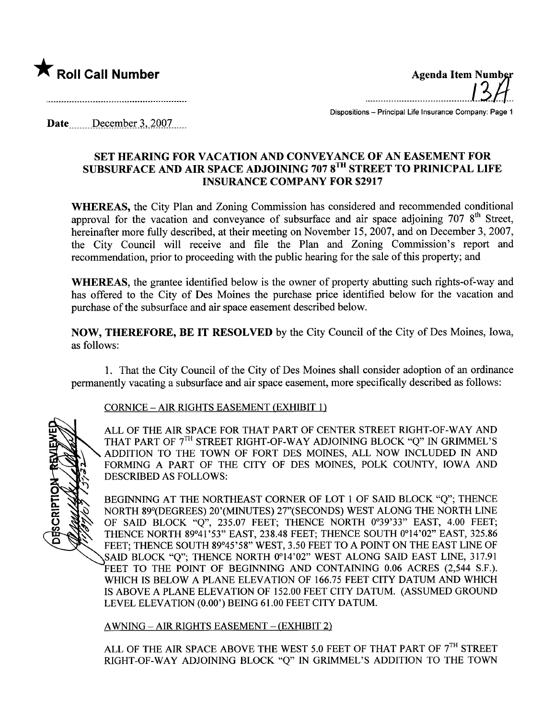

**ESCRIPTION** 

.........................................1.3./1..

Dispositions - Principal Life Insurance Company: Page 1

Date  $December 3, 2007...$ 

# SET HEARING FOR VACATION AND CONVEYANCE OF AN EASEMENT FOR SUBSURFACE AND AIR SPACE ADJOINING 707 8<sup>TH</sup> STREET TO PRINICPAL LIFE INSURANCE COMPANY FOR \$2917

WHEREAS, the City Plan and Zoning Commission has considered and recommended conditional approval for the vacation and conveyance of subsurface and air space adjoining  $7078<sup>th</sup>$  Street, hereinafter more fully described, at their meeting on November 15, 2007, and on December 3, 2007, the City Council will receive and file the Plan and Zoning Commission's report and recommendation, prior to proceeding with the public hearing for the sale of this property; and

WHEREAS, the grantee identified below is the owner of property abutting such rights-of-way and has offered to the City of Des Moines the purchase price identified below for the vacation and purchase of the subsurface and air space easement described below.

NOW, THEREFORE, BE IT RESOLVED by the City Council of the City of Des Moines, Iowa, as follows:

1. That the City Council of the City of Des Moines shall consider adoption of an ordinance permanently vacating a subsurface and air space easement, more specifically described as follows:

## CORNICE - AIR RIGHTS EASEMENT (EXHffIT 1)

ALL OF THE AIR SPACE FOR THAT PART OF CENTER STREET RIGHT-OF-WAY AND THAT PART OF 7<sup>TH</sup> STREET RIGHT-OF-WAY ADJOINING BLOCK "Q" IN GRIMMEL'S ADDITION TO THE TOWN OF FORT DES MOINES, ALL NOW INCLUDED IN AND FORMING A PART OF THE CITY OF DES MOINES, POLK COUNTY, IOWA AND DESCRIBED AS FOLLOWS:

BEGINING AT THE NORTHEAST CORNER OF LOT 1 OF SAID BLOCK "Q"; THENCE NORTH 89°(DEGREES) 20'(MINTES) 27"(SECONDS) WEST ALONG THE NORTH LINE OF SAID BLOCK "Q", 235.07 FEET; THENCE NORTH 0°39'33" EAST, 4.00 FEET; THENCE NORTH 89°41 '53" EAST, 238.48 FEET; THENCE SOUTH 0°14'02" EAST, 325.86 FEET; THENCE SOUTH 89°45'58" WEST, 3.50 FEET TO A POINT ON THE EAST LINE OF SAID BLOCK "Q"; THENCE NORTH 0°14'02" WEST ALONG SAID EAST LINE, 317.91 FEET TO THE POINT OF BEGINNING AND CONTAINING 0.06 ACRES (2,544 S.F.). WHICH IS BELOW A PLANE ELEVATION OF 166.75 FEET CITY DATUM AND WHICH is ABOVE A PLANE ELEVATION OF 152.00 FEET CITY DATUM. (ASSUMED GROUND LEVEL ELEVATION (0.00') BEING 61.00 FEET CITY DATUM.

AWNING - AIR RIGHTS EASEMENT - (EXHIBIT 2)

ALL OF THE AIR SPACE ABOVE THE WEST 5.0 FEET OF THAT PART OF  $7<sup>TH</sup>$  STREET RIGHT-OF-WAY ADJOINING BLOCK "Q" IN GRIMMEL'S ADDITION TO THE TOWN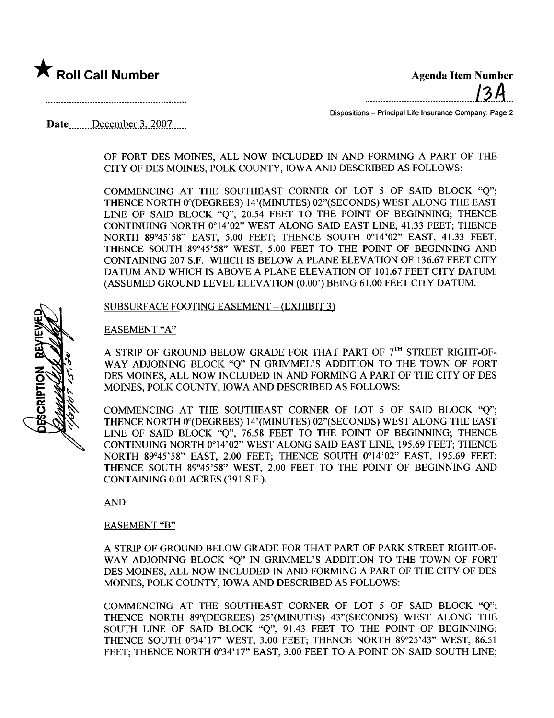

..........................................1.2.4...

Dispositions - Principal Life Insurance Company: Page 2

# Date  $December 3, 2007$

### OF FORT DES MOINES, ALL NOW INCLUDED IN AND FORMING A PART OF THE CITY OF DES MOINES, POLK COUNTY, IOWA AND DESCRIED AS FOLLOWS:

COMMENCING AT THE SOUTHEAST CORNER OF LOT 5 OF SAID BLOCK "Q"; THENCE NORTH 0°(DEGREES) 14'(MINUTES) 02"(SECONDS) WEST ALONG THE EAST LINE OF SAID BLOCK "O", 20.54 FEET TO THE POINT OF BEGINNING; THENCE CONTINING NORTH 0°14'02" WEST ALONG SAID EAST LINE, 41.33 FEET; THENCE NORTH 89°45'58" EAST, 5.00 FEET; THENCE SOUTH 0°14'02" EAST, 41.33 FEET; THENCE SOUTH 89°45'58" WEST, 5.00 FEET TO THE POINT OF BEGINING AND CONTAINING 207 S.F. WHICH IS BELOW A PLANE ELEVATION OF 136.67 FEET CITY DATUM AND WHICH IS ABOVE A PLANE ELEVATION OF 101.67 FEET CITY DATUM. (ASSUMED GROUND LEVEL ELEVATION (0.00') BEING 61.00 FEET CITY DATUM.

SUBSURFACE FOOTING EASEMENT - (EXHIBIT 3)

### EASEMENT "A"

A STRIP OF GROUND BELOW GRADE FOR THAT PART OF  $7<sup>TH</sup>$  STREET RIGHT-OF-WAY ADJOINING BLOCK "O" IN GRIMMEL'S ADDITION TO THE TOWN OF FORT DES MOINES, ALL NOW INCLUDED IN AND FORMING A PART OF THE CITY OF DES MOINES, POLK COUNTY, IOWA AND DESCRIBED AS FOLLOWS:

COMMENCING AT THE SOUTHEAST CORNER OF LOT 5 OF SAID BLOCK "Q"; THENCE NORTH 0°(DEGREES) 14'(MINUTES) 02"(SECONDS) WEST ALONG THE EAST LINE OF SAID BLOCK "O", 76.58 FEET TO THE POINT OF BEGINNING; THENCE CONTINING NORTH 0°14'02" WEST ALONG SAID EAST LINE, 195.69 FEET; THENCE NORTH 89°45'58" EAST, 2.00 FEET; THENCE SOUTH 0°14'02" EAST, 195.69 FEET; THENCE SOUTH 89°45'58" WEST, 2.00 FEET TO THE POINT OF BEGINING AND CONTAINING 0.01 ACRES (391 S.F.).

AND

#### EASEMENT "B"

A STRIP OF GROUND BELOW GRADE FOR THAT PART OF PARK STREET RIGHT-OF-WAY ADJOINING BLOCK "Q" IN GRIMMEL'S ADDITION TO THE TOWN OF FORT DES MOINES, ALL NOW INCLUDED IN AND FORMING A PART OF THE CITY OF DES MOINES, POLK COUNTY, IOWA AND DESCRIBED AS FOLLOWS:

COMMENCING AT THE SOUTHEAST CORNER OF LOT 5 OF SAID BLOCK "Q"; THENCE NORTH 89°(DEGREES) 25'(MINUTES) 43"(SECONDS) WEST ALONG THE SOUTH LINE OF SAID BLOCK "Q", 91.43 FEET TO THE POINT OF BEGINNING; THENCE SOUTH 0°34'17" WEST, 3.00 FEET; THENCE NORTH 89°25'43" WEST, 86.51 FEET; THENCE NORTH 0°34'17" EAST, 3.00 FEET TO A POINT ON SAID SOUTH LINE;

CRIPTION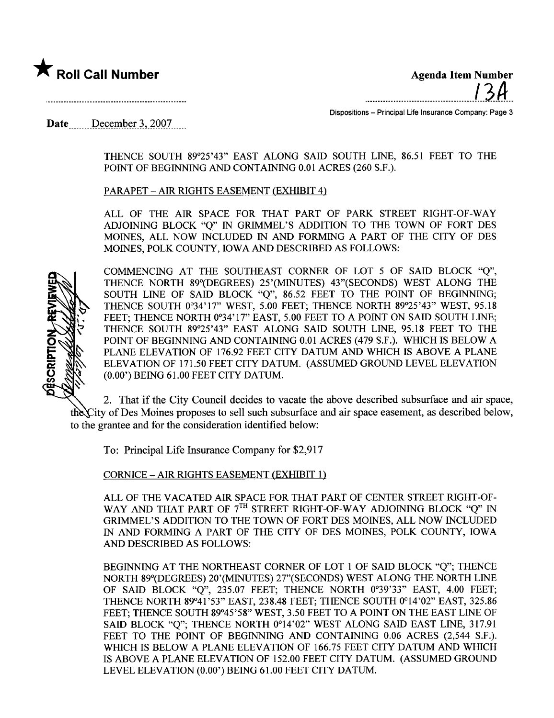

 $\bigstar$  Roll Call Number  $\bigstar$  and  $\bigstar$   $\bigstar$   $\bigstar$   $\bigstar$   $\bigstar$   $\bigstar$   $\bigstar$   $\bigstar$   $\bigstar$   $\bigstar$   $\bigstar$   $\bigstar$   $\bigstar$   $\bigstar$   $\bigstar$   $\bigstar$   $\bigstar$   $\bigstar$   $\bigstar$   $\bigstar$   $\bigstar$   $\bigstar$   $\bigstar$   $\bigstar$   $\bigstar$   $\bigstar$   $\bigstar$   $\bigstar$   $\bigstar$   $\bigstar$   $\bigstar$   $\$ ..........................................I..3.A..

Dispositions - Principal Life Insurance Company: Page 3

Date  $December 3, 2007.$ 

THENCE SOUTH 89°25'43" EAST ALONG SAID SOUTH LINE, 86.51 FEET TO THE POINT OF BEGINNING AND CONTAINING 0.01 ACRES (260 S.F.).

PARAPET - AIR RIGHTS EASEMENT (EXHIBIT 4)

ALL OF THE AIR SPACE FOR THAT PART OF PARK STREET RIGHT-OF-WAY ADJOINING BLOCK "Q" IN GRIMMEL'S ADDITION TO THE TOWN OF FORT DES MOINES, ALL NOW INCLUDED IN AND FORMING A PART OF THE CITY OF DES MOINES, POLK COUNTY, IOWA AND DESCRIED AS FOLLOWS:



COMMENCING AT THE SOUTHEAST CORNER OF LOT 5 OF SAID BLOCK "Q", THENCE NORTH 89°(DEGREES) 25'(MINUTES) 43"(SECONDS) WEST ALONG THE SOUTH LINE OF SAID BLOCK "Q", 86.52 FEET TO THE POINT OF BEGINNING; THENCE SOUTH 0°34'17" WEST, 5.00 FEET; THENCE NORTH 89°25'43" WEST, 95.18 FEET; THENCE NORTH 0°34'17" EAST, 5.00 FEET TO A POINT ON SAID SOUTH LINE; THENCE SOUTH 89°25'43" EAST ALONG SAID SOUTH LINE, 95.18 FEET TO THE POINT OF BEGINING AND CONTAINING 0.01 ACRES (479 S.F.). WHICH is BELOW A PLANE ELEVATION OF 176.92 FEET CITY DATUM AND WHICH IS ABOVE A PLANE ELEVATION OF 171.50 FEET CITY DATUM. (ASSUMED GROUND LEVEL ELEVATION (0.00') BEING 61.00 FEET CITY DATUM.

2. That if the City Council decides to vacate the above described subsurface and air space, the City of Des Moines proposes to sell such subsurface and air space easement, as described below, to the grantee and for the consideration identified below:

To: Principal Life Insurance Company for \$2,917

CORNICE - AIR RIGHTS EASEMENT (EXHIBIT 1)

ALL OF THE VACATED AIR SPACE FOR THAT PART OF CENTER STREET RIGHT-OF-WAY AND THAT PART OF 7<sup>TH</sup> STREET RIGHT-OF-WAY ADJOINING BLOCK "Q" IN GRIMMEL'S ADDITION TO THE TOWN OF FORT DES MOINES, ALL NOW INCLUDED IN AND FORMING A PART OF THE CITY OF DES MOINES, POLK COUNTY, IOWA AND DESCRIBED AS FOLLOWS:

BEGINING AT THE NORTHEAST CORNER OF LOT 1 OF SAID BLOCK "Q"; THENCE NORTH 89°(DEGREES) 20'(MINTES) 27"(SECONDS) WEST ALONG THE NORTH LINE OF SAID BLOCK "Q", 235.07 FEET; THENCE NORTH 0°39'33" EAST, 4.00 FEET; THENCE NORTH 89°41 '53" EAST, 238.48 FEET; THENCE SOUTH 0°14'02" EAST, 325.86 FEET; THENCE SOUTH 89°45'58" WEST, 3.50 FEET TO A POINT ON THE EAST LINE OF SAID BLOCK "Q"; THENCE NORTH 0°14'02" WEST ALONG SAID EAST LINE, 317.91 FEET TO THE POINT OF BEGINNING AND CONTAINING 0.06 ACRES (2,544 S.F.). WHICH IS BELOW A PLANE ELEVATION OF 166.75 FEET CITY DATUM AND WHICH is ABOVE A PLANE ELEVATION OF 152.00 FEET CITY DATUM. (ASSUMED GROUND LEVEL ELEVATION (0.00') BEING 61.00 FEET CITY DATUM.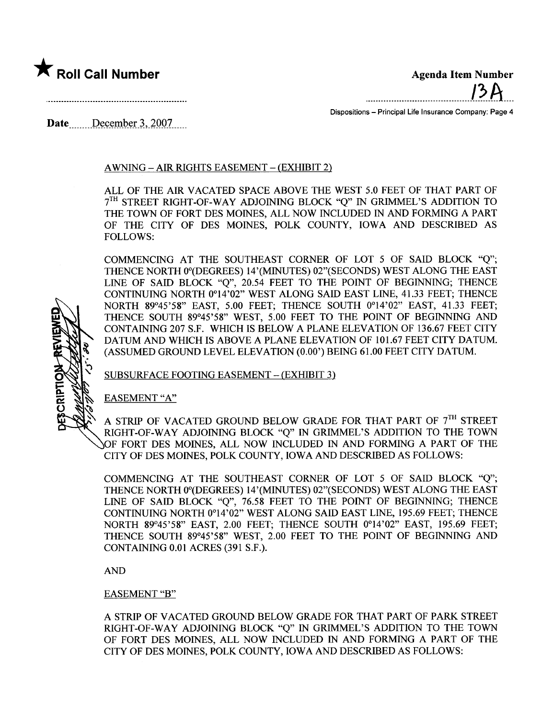

........................................-'.2.11....

Dispositions - Principal Life Insurance Company: Page 4

Date December 3, 2007

# AWNING - AIR RIGHTS EASEMENT - (EXHIBIT 2)

ALL OF THE AIR VACATED SPACE ABOVE THE WEST 5.0 FEET OF THAT PART OF 7<sup>TH</sup> STREET RIGHT-OF-WAY ADJOINING BLOCK "Q" IN GRIMMEL'S ADDITION TO THE TOWN OF FORT DES MOINES, ALL NOW INCLUDED IN AND FORMING A PART OF THE CITY OF DES MOINS, POLK COUNTY, IOWA AND DESCRIED AS FOLLOWS:

COMMENCING AT THE SOUTHEAST CORNER OF LOT 5 OF SAID BLOCK "Q"; THENCE NORTH 0°(DEGREES) 14'(MINUTES) 02"(SECONDS) WEST ALONG THE EAST LINE OF SAID BLOCK "Q", 20.54 FEET TO THE POINT OF BEGINNING; THENCE CONTINING NORTH 0°14'02" WEST ALONG SAID EAST LINE, 41.33 FEET; THENCE NORTH 89°45'58" EAST, 5.00 FEET; THENCE SOUTH 0°14'02" EAST, 41.33 FEET; THENCE SOUTH 89°45'58" WEST, 5.00 FEET TO THE POINT OF BEGINING AND CONTAINING 207 S.F. WHCH is BELOW A PLANE ELEVATION OF 136.67 FEET CITY DATUM AND WHICH is ABOVE A PLANE ELEVATION OF 101.67 FEET CITY DATUM. (ASSUMED GROUND LEVEL ELEVATION (0.00') BEING 61.00 FEET CITY DATUM.

SUBSURFACE FOOTING EASEMENT - (EXHIBIT 3)

EASEMENT "A"

CRIPTI

A STRIP OF VACATED GROUND BELOW GRADE FOR THAT PART OF  $7^{\text{TH}}$  STREET RIGHT-OF-WAY ADJOINING BLOCK "Q" IN GRIMEL'S ADDITION TO THE TOWN OF FORT DES MOINES, ALL NOW INCLUDED IN AND FORMING A PART OF THE CITY OF DES MOINES, POLK COUNTY, IOWA AND DESCRIED AS FOLLOWS:

COMMENCING AT THE SOUTHEAST CORNER OF LOT 5 OF SAID BLOCK "Q"; THENCE NORTH 0°(DEGREES) 14'(MINUTES) 02"(SECONDS) WEST ALONG THE EAST LINE OF SAID BLOCK "O", 76.58 FEET TO THE POINT OF BEGINNING; THENCE CONTINUING NORTH 0°14'02" WEST ALONG SAID EAST LINE, 195.69 FEET; THENCE NORTH 89°45'58" EAST, 2.00 FEET; THENCE SOUTH 0°14'02" EAST, 195.69 FEET; THENCE SOUTH 89°45'58" WEST, 2.00 FEET TO THE POINT OF BEGINING AND CONTAINING 0.01 ACRES (391 S.F.).

AND

#### EASEMENT "B"

A STRIP OF VACATED GROUND BELOW GRADE FOR THAT PART OF PARK STREET RIGHT-OF-WAY ADJOINING BLOCK "Q" IN GRIMEL'S ADDITION TO THE TOWN OF FORT DES MOINES, ALL NOW INCLUDED IN AND FORMING A PART OF THE CITY OF DES MOINES, POLK COUNTY, IOWA AND DESCRIBED AS FOLLOWS: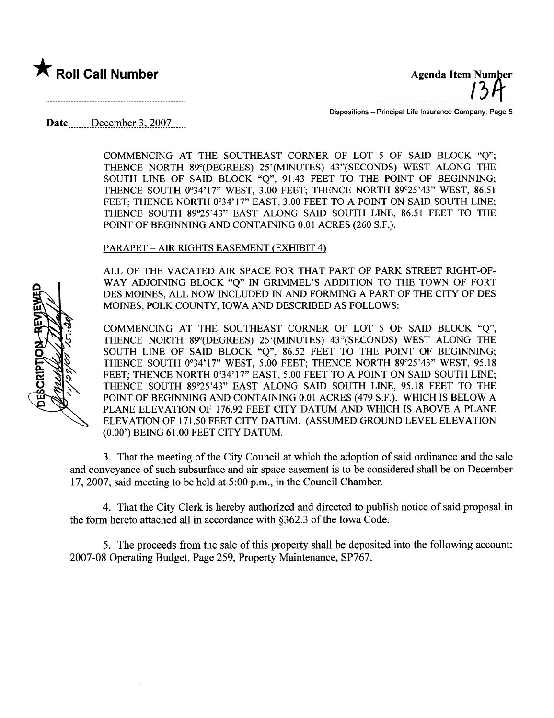

....mnmnm.mmmmnmm.L?¿tr. n

Dispositions - Principal Life Insurance Company: Page 5

Date \_\_\_\_\_\_\_ December 3, 2007......

COMMENCING AT THE SOUTHEAST CORNER OF LOT 5 OF SAID BLOCK "Q"; THENCE NORTH 89°(DEGREES) 25'(MINUTES) 43"(SECONDS) WEST ALONG THE SOUTH LINE OF SAID BLOCK "Q", 91.43 FEET TO THE POINT OF BEGINNING; THENCE SOUTH 0°34'17" WEST, 3.00 FEET; THENCE NORTH 89°25'43" WEST, 86.51 FEET; THENCE NORTH 0°34'17" EAST, 3.00 FEET TO A POINT ON SAID SOUTH LINE; THENCE SOUTH 89°25'43" EAST ALONG SAID SOUTH LINE, 86.51 FEET TO THE POINT OF BEGINNING AND CONTAINING 0.01 ACRES (260 S.F.).

## PARAPET - AIR RIGHTS EASEMENT (EXHIBIT 4)

ALL OF THE VACATED AIR SPACE FOR THAT PART OF PARK STREET RIGHT-OF-WAY ADJOINING BLOCK "Q" IN GRIMEL'S ADDITION TO THE TOWN OF FORT DES MOINES, ALL NOW INCLUDED IN AND FORMING A PART OF THE CITY OF DES MOINES, POLK COUNTY, IOWA AND DESCRIBED AS FOLLOWS:

COMMNCING AT THE SOUTHEAST CORNER OF LOT 5 OF SAID BLOCK "Q", THENCE NORTH 89°(DEGREES) 25'(MINTES) 43"(SECONDS) WEST ALONG THE SOUTH LINE OF SAID BLOCK "Q", 86.52 FEET TO THE POINT OF BEGINNING; THENCE SOUTH 0°34'17" WEST, 5.00 FEET; THENCE NORTH 89°25'43" WEST, 95.18 FEET; THENCE NORTH 0°34'17" EAST, 5.00 FEET TO A POINT ON SAID SOUTH LINE; THENCE SOUTH 89°25'43" EAST ALONG SAID SOUTH LINE, 95.18 FEET TO THE POINT OF BEGINING AND CONTAINING 0.01 ACRES (479 S.F.). WHICH is BELOW A PLANE ELEVATION OF 176.92 FEET CITY DATUM AND WHICH is ABOVE A PLANE ELEVATION OF 171.50 FEET CITY DATUM. (ASSUMED GROUND LEVEL ELEVATION (0.00') BEING 61.00 FEET CITY DATUM.

3. That the meeting of the City Council at which the adoption of said ordinance and the sale and conveyance of such subsurface and air space easement is to be considered shall be on December 17,2007, said meeting to be held at 5:00 p.m., in the Council Chamber.

4. That the City Clerk is hereby authorized and directed to publish notice of said proposal in the form hereto attached all in accordance with  $\S362.3$  of the Iowa Code.

5. The proceeds from the sale of this property shall be deposited into the following account: 2007-08 Operating Budget, Page 259, Property Maintenance, SP767.

o **SCRIPTION**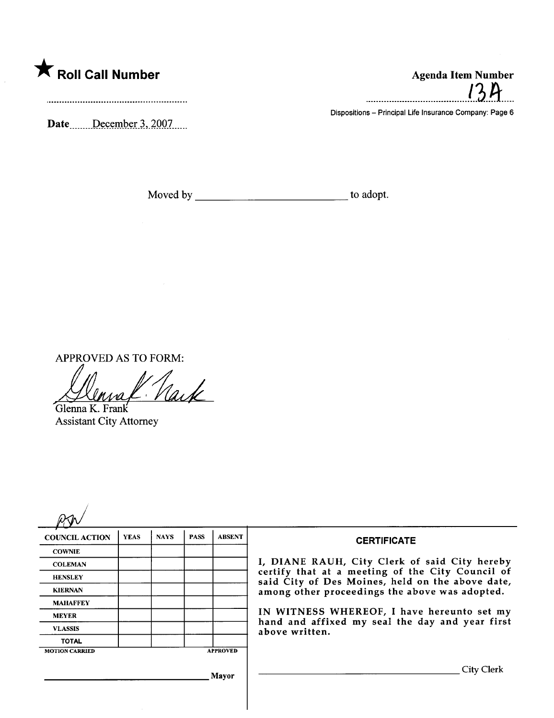

Date  $\frac{\text{December 3, 2007}}{\text{December 3}}$ 

.......................................l.3..a.....

Dispositions - Principal Life Insurance Company: Page 6

Moved by to adopt.

APPROVED AS TO FORM:<br> $\iiint_{\text{Glenna K. Frank}} \iint_{\text{Glenna K.}}$ 

Assistant City Attorney

| <b>COUNCIL ACTION</b> | <b>YEAS</b> | <b>NAYS</b> | <b>PASS</b> | <b>ABSENT</b>   | <b>CERTIFICATE</b>                                                                                                                                                                                                                                                                                                         |
|-----------------------|-------------|-------------|-------------|-----------------|----------------------------------------------------------------------------------------------------------------------------------------------------------------------------------------------------------------------------------------------------------------------------------------------------------------------------|
| <b>COWNIE</b>         |             |             |             |                 | I, DIANE RAUH, City Clerk of said City hereby<br>certify that at a meeting of the City Council of<br>said City of Des Moines, held on the above date,<br>among other proceedings the above was adopted.<br>IN WITNESS WHEREOF, I have hereunto set my<br>hand and affixed my seal the day and year first<br>above written. |
| <b>COLEMAN</b>        |             |             |             |                 |                                                                                                                                                                                                                                                                                                                            |
| <b>HENSLEY</b>        |             |             |             |                 |                                                                                                                                                                                                                                                                                                                            |
| <b>KIERNAN</b>        |             |             |             |                 |                                                                                                                                                                                                                                                                                                                            |
| <b>MAHAFFEY</b>       |             |             |             |                 |                                                                                                                                                                                                                                                                                                                            |
| <b>MEYER</b>          |             |             |             |                 |                                                                                                                                                                                                                                                                                                                            |
| <b>VLASSIS</b>        |             |             |             |                 |                                                                                                                                                                                                                                                                                                                            |
| <b>TOTAL</b>          |             |             |             |                 |                                                                                                                                                                                                                                                                                                                            |
| <b>MOTION CARRIED</b> |             |             |             | <b>APPROVED</b> |                                                                                                                                                                                                                                                                                                                            |
|                       |             |             |             | Mayor           | <b>City Clerk</b>                                                                                                                                                                                                                                                                                                          |